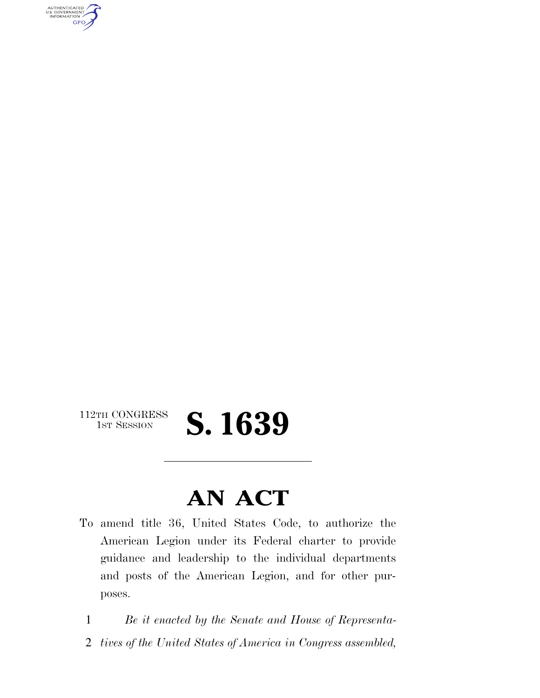

## $\begin{array}{c} \textbf{112TH CONGRESS} \\ \textbf{1ST SESION} \end{array}$ 1ST SESSION **S. 1639**

## **AN ACT**

To amend title 36, United States Code, to authorize the American Legion under its Federal charter to provide guidance and leadership to the individual departments and posts of the American Legion, and for other purposes.

1 *Be it enacted by the Senate and House of Representa-*

2 *tives of the United States of America in Congress assembled,*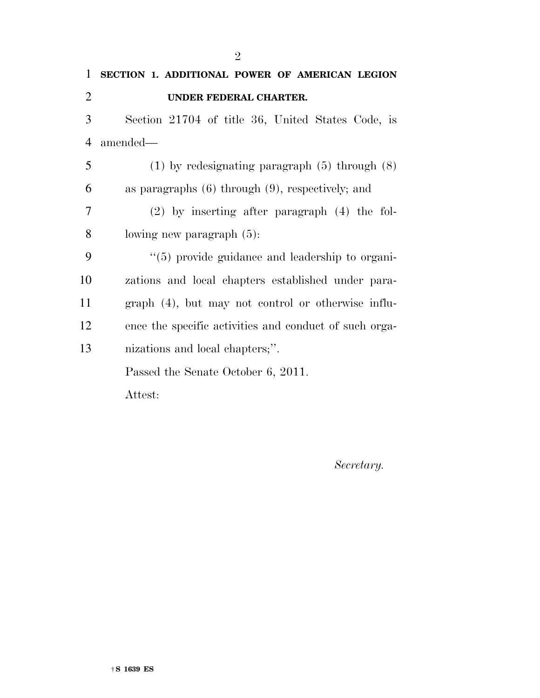| $\mathbf{1}$   | SECTION 1. ADDITIONAL POWER OF AMERICAN LEGION         |
|----------------|--------------------------------------------------------|
| $\overline{2}$ | UNDER FEDERAL CHARTER.                                 |
| 3              | Section 21704 of title 36, United States Code, is      |
| $\overline{4}$ | amended—                                               |
| 5              | $(1)$ by redesignating paragraph $(5)$ through $(8)$   |
| 6              | as paragraphs $(6)$ through $(9)$ , respectively; and  |
| 7              | $(2)$ by inserting after paragraph $(4)$ the fol-      |
| 8              | lowing new paragraph $(5)$ :                           |
| 9              | "(5) provide guidance and leadership to organi-        |
| 10             | zations and local chapters established under para-     |
| 11             | graph (4), but may not control or otherwise influ-     |
| 12             | ence the specific activities and conduct of such orga- |
| 13             | nizations and local chapters;".                        |
|                | Passed the Senate October 6, 2011.                     |
|                | Attest:                                                |

*Secretary.*